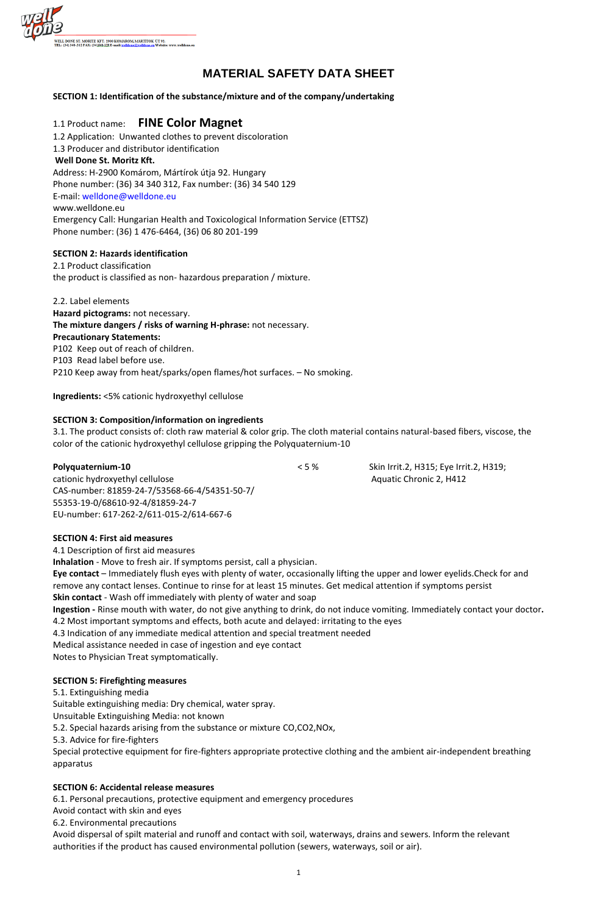

# **MATERIAL SAFETY DATA SHEET**

**SECTION 1: Identification of the substance/mixture and of the company/undertaking**

# 1.1 Product name: **FINE Color Magnet**

1.2 Application: Unwanted clothes to prevent discoloration 1.3 Producer and distributor identification **Well Done St. Moritz Kft.** Address: H-2900 Komárom, Mártírok útja 92. Hungary Phone number: (36) 34 340 312, Fax number: (36) 34 540 129 E-mail: welldone@welldone.eu www.welldone.eu Emergency Call: Hungarian Health and Toxicological Information Service (ETTSZ) Phone number: (36) 1 476-6464, (36) 06 80 201-199

#### **SECTION 2: Hazards identification**

2.1 Product classification the product is classified as non- hazardous preparation / mixture.

cationic hydroxyethyl cellulose Aquatic Chronic 2, H412 CAS-number: 81859-24-7/53568-66-4/54351-50-7/ 55353-19-0/68610-92-4/81859-24-7 EU-number: 617-262-2/611-015-2/614-667-6

2.2. Label elements **Hazard pictograms:** not necessary. **The mixture dangers / risks of warning H-phrase:** not necessary. **Precautionary Statements:** P102 Keep out of reach of children. P103 Read label before use. P210 Keep away from heat/sparks/open flames/hot surfaces. – No smoking.

**Ingredients:** <5% cationic hydroxyethyl cellulose

# **SECTION 3: Composition/information on ingredients**

3.1. The product consists of: cloth raw material & color grip. The cloth material contains natural-based fibers, viscose, the color of the cationic hydroxyethyl cellulose gripping the Polyquaternium-10

**Polyquaternium-10**  $\leq$  5 % Skin Irrit.2, H315; Eye Irrit.2, H319;

#### **SECTION 4: First aid measures**

4.1 Description of first aid measures **Inhalation** - Move to fresh air. If symptoms persist, call a physician. **Eye contact** – Immediately flush eyes with plenty of water, occasionally lifting the upper and lower eyelids.Check for and remove any contact lenses. Continue to rinse for at least 15 minutes. Get medical attention if symptoms persist **Skin contact** - Wash off immediately with plenty of water and soap **Ingestion -** Rinse mouth with water, do not give anything to drink, do not induce vomiting. Immediately contact your doctor**.** 4.2 Most important symptoms and effects, both acute and delayed: irritating to the eyes 4.3 Indication of any immediate medical attention and special treatment needed Medical assistance needed in case of ingestion and eye contact Notes to Physician Treat symptomatically.

#### **SECTION 5: Firefighting measures**

5.1. Extinguishing media

Suitable extinguishing media: Dry chemical, water spray.

Unsuitable Extinguishing Media: not known

5.2. Special hazards arising from the substance or mixture CO,CO2,NOx,

5.3. Advice for fire-fighters

Special protective equipment for fire-fighters appropriate protective clothing and the ambient air-independent breathing apparatus

#### **SECTION 6: Accidental release measures**

6.1. Personal precautions, protective equipment and emergency procedures

Avoid contact with skin and eyes

6.2. Environmental precautions

Avoid dispersal of spilt material and runoff and contact with soil, waterways, drains and sewers. Inform the relevant authorities if the product has caused environmental pollution (sewers, waterways, soil or air).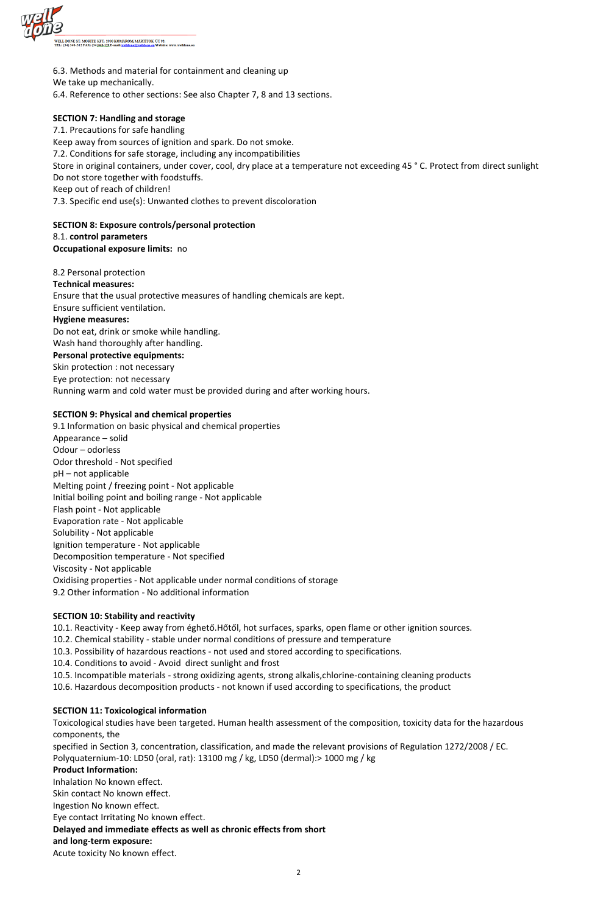

6.3. Methods and material for containment and cleaning up

We take up mechanically.

6.4. Reference to other sections: See also Chapter 7, 8 and 13 sections.

# **SECTION 7: Handling and storage**

7.1. Precautions for safe handling Keep away from sources of ignition and spark. Do not smoke. 7.2. Conditions for safe storage, including any incompatibilities Store in original containers, under cover, cool, dry place at a temperature not exceeding 45 ° C. Protect from direct sunlight Do not store together with foodstuffs. Keep out of reach of children! 7.3. Specific end use(s): Unwanted clothes to prevent discoloration

# **SECTION 8: Exposure controls/personal protection**

8.1. **control parameters**

**Occupational exposure limits:** no

# 8.2 Personal protection

#### **Technical measures:**

Ensure that the usual protective measures of handling chemicals are kept.

Ensure sufficient ventilation.

# **Hygiene measures:**

Do not eat, drink or smoke while handling. Wash hand thoroughly after handling.

# **Personal protective equipments:**

Skin protection : not necessary Eye protection: not necessary Running warm and cold water must be provided during and after working hours.

# **SECTION 9: Physical and chemical properties**

9.1 Information on basic physical and chemical properties Appearance – solid Odour – odorless Odor threshold - Not specified pH – not applicable Melting point / freezing point - Not applicable Initial boiling point and boiling range - Not applicable Flash point - Not applicable Evaporation rate - Not applicable Solubility - Not applicable Ignition temperature - Not applicable Decomposition temperature - Not specified Viscosity - Not applicable Oxidising properties - Not applicable under normal conditions of storage 9.2 Other information - No additional information

# **SECTION 10: Stability and reactivity**

10.1. Reactivity - Keep away from éghető.Hőtől, hot surfaces, sparks, open flame or other ignition sources.

- 10.2. Chemical stability stable under normal conditions of pressure and temperature
- 10.3. Possibility of hazardous reactions not used and stored according to specifications.
- 10.4. Conditions to avoid Avoid direct sunlight and frost
- 

10.5. Incompatible materials - strong oxidizing agents, strong alkalis,chlorine-containing cleaning products 10.6. Hazardous decomposition products - not known if used according to specifications, the product

#### **SECTION 11: Toxicological information**

Toxicological studies have been targeted. Human health assessment of the composition, toxicity data for the hazardous components, the

specified in Section 3, concentration, classification, and made the relevant provisions of Regulation 1272/2008 / EC. Polyquaternium-10: LD50 (oral, rat): 13100 mg / kg, LD50 (dermal):> 1000 mg / kg

#### **Product Information:**

Inhalation No known effect.

Skin contact No known effect.

Ingestion No known effect.

Eye contact Irritating No known effect.

**Delayed and immediate effects as well as chronic effects from short** 

**and long-term exposure:**

Acute toxicity No known effect.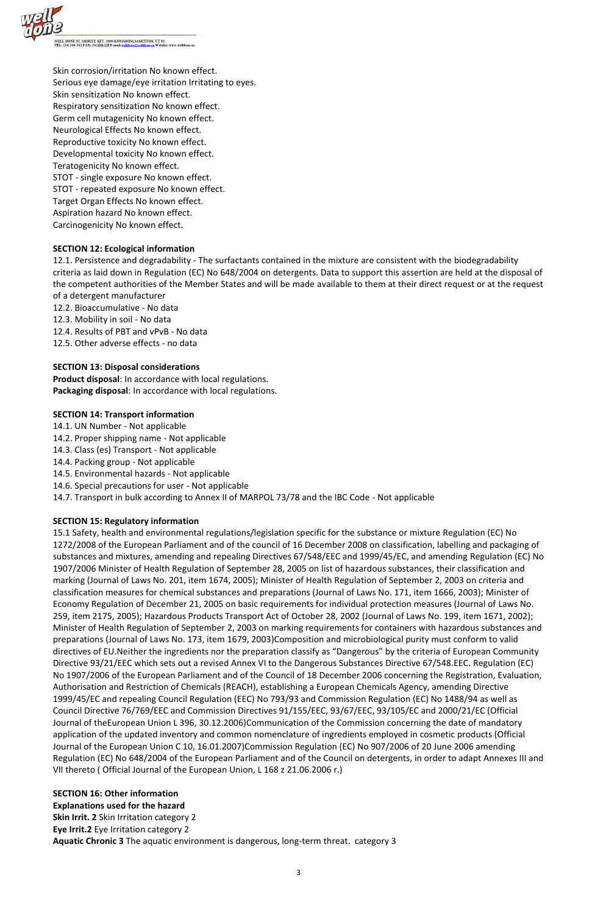

Skin corrosion/irritation No known effect. Serious eye damage/eye irritation Irritating to eyes. Skin sensitization No known effect. Respiratory sensitization No known effect. Germ cell mutagenicity No known effect. Neurological Effects No known effect. Reproductive toxicity No known effect. Developmental toxicity No known effect. Teratogenicity No known effect. STOT - single exposure No known effect. STOT - repeated exposure No known effect. Target Organ Effects No known effect. Aspiration hazard No known effect. Carcinogenicity No known effect.

#### **SECTION 12: Ecological information**

12.1. Persistence and degradability - The surfactants contained in the mixture are consistent with the biodegradability criteria as laid down in Regulation (EC) No 648/2004 on detergents. Data to support this assertion are held at the disposal of the competent authorities of the Member States and will be made available to them at their direct request or at the request of a detergent manufacturer

- 12.2. Bioaccumulative No data
- 12.3. Mobility in soil No data
- 12.4. Results of PBT and vPvB No data
- 12.5. Other adverse effects no data

#### **SECTION 13: Disposal considerations**

**Product disposal**: In accordance with local regulations. **Packaging disposal**: In accordance with local regulations.

#### **SECTION 14: Transport information**

- 14.1. UN Number Not applicable
- 14.2. Proper shipping name Not applicable
- 14.3. Class (es) Transport Not applicable
- 14.4. Packing group Not applicable
- 14.5. Environmental hazards Not applicable
- 14.6. Special precautions for user Not applicable
- 14.7. Transport in bulk according to Annex II of MARPOL 73/78 and the IBC Code Not applicable

# **SECTION 15: Regulatory information**

15.1 Safety, health and environmental regulations/legislation specific for the substance or mixture Regulation (EC) No 1272/2008 of the European Parliament and of the council of 16 December 2008 on classification, labelling and packaging of substances and mixtures, amending and repealing Directives 67/548/EEC and 1999/45/EC, and amending Regulation (EC) No 1907/2006 Minister of Health Regulation of September 28, 2005 on list of hazardous substances, their classification and marking (Journal of Laws No. 201, item 1674, 2005); Minister of Health Regulation of September 2, 2003 on criteria and classification measures for chemical substances and preparations (Journal of Laws No. 171, item 1666, 2003); Minister of Economy Regulation of December 21, 2005 on basic requirements for individual protection measures (Journal of Laws No. 259, item 2175, 2005); Hazardous Products Transport Act of October 28, 2002 (Journal of Laws No. 199, item 1671, 2002); Minister of Health Regulation of September 2, 2003 on marking requirements for containers with hazardous substances and preparations (Journal of Laws No. 173, item 1679, 2003)Composition and microbiological purity must conform to valid directives of EU.Neither the ingredients nor the preparation classify as "Dangerous" by the criteria of European Community Directive 93/21/EEC which sets out a revised Annex VI to the Dangerous Substances Directive 67/548.EEC. Regulation (EC) No 1907/2006 of the European Parliament and of the Council of 18 December 2006 concerning the Registration, Evaluation, Authorisation and Restriction of Chemicals (REACH), establishing a European Chemicals Agency, amending Directive 1999/45/EC and repealing Council Regulation (EEC) No 793/93 and Commission Regulation (EC) No 1488/94 as well as Council Directive 76/769/EEC and Commission Directives 91/155/EEC, 93/67/EEC, 93/105/EC and 2000/21/EC (Official Journal of theEuropean Union L 396, 30.12.2006)Communication of the Commission concerning the date of mandatory application of the updated inventory and common nomenclature of ingredients employed in cosmetic products (Official Journal of the European Union C 10, 16.01.2007)Commission Regulation (EC) No 907/2006 of 20 June 2006 amending Regulation (EC) No 648/2004 of the European Parliament and of the Council on detergents, in order to adapt Annexes III and VII thereto ( Official Journal of the European Union, L 168 z 21.06.2006 r.)

**SECTION 16: Other information Explanations used for the hazard Skin Irrit. 2** Skin Irritation category 2 **Eye Irrit.2** Eye Irritation category 2 **Aquatic Chronic 3** The aquatic environment is dangerous, long-term threat. category 3